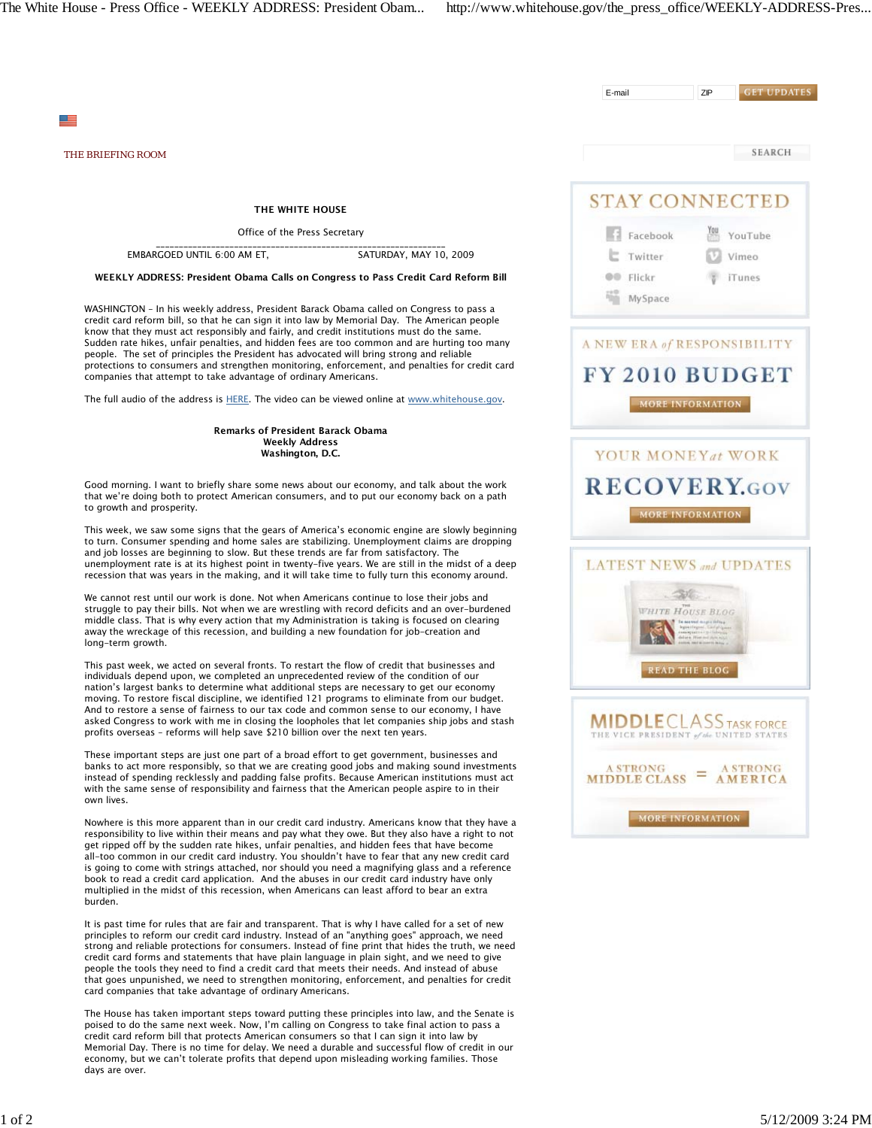card companies that take advantage of ordinary Americans.

The House has taken important steps toward putting these principles into law, and the Senate is poised to do the same next week. Now, I'm calling on Congress to take final action to pass a credit card reform bill that protects American consumers so that I can sign it into law by Memorial Day. There is no time for delay. We need a durable and successful flow of credit in our economy, but we can't tolerate profits that depend upon misleading working families. Those

**GET UPDATES** E-mail ZIP ≝ SEARCH *THE BRIEFING ROOM* **STAY CONNECTED** THE WHITE HOUSE Office of the Press Secretary **Facebook** YouTube \_\_\_\_\_\_\_\_\_\_\_\_\_\_\_\_\_\_\_\_\_\_\_\_\_\_\_\_\_\_\_\_\_\_\_\_\_\_\_\_\_\_\_\_\_\_\_\_\_\_\_\_\_\_\_\_\_\_\_\_\_\_\_ EMBARGOED UNTIL 6:00 AM ET, SATURDAY, MAY 10, 2009  $\mathsf{E}$  Twitter Vimeo WEEKLY ADDRESS: President Obama Calls on Congress to Pass Credit Card Reform Bill **OD** Flickr T iTunes MySpace WASHINGTON – In his weekly address, President Barack Obama called on Congress to pass a credit card reform bill, so that he can sign it into law by Memorial Day. The American people know that they must act responsibly and fairly, and credit institutions must do the same. Sudden rate hikes, unfair penalties, and hidden fees are too common and are hurting too many A NEW ERA of RESPONSIBILITY people. The set of principles the President has advocated will bring strong and reliable protections to consumers and strengthen monitoring, enforcement, and penalties for credit card FY 2010 BUDGET companies that attempt to take advantage of ordinary Americans. The full audio of the address is HERE. The video can be viewed online at www.whitehouse.gov. MORE INFORMATION Remarks of President Barack Obama Weekly Address Washington, D.C. YOUR MONEYat WORK **RECOVERY.GOV** Good morning. I want to briefly share some news about our economy, and talk about the work that we're doing both to protect American consumers, and to put our economy back on a path to growth and prosperity. MORE INFORMATION This week, we saw some signs that the gears of America's economic engine are slowly beginning to turn. Consumer spending and home sales are stabilizing. Unemployment claims are dropping and job losses are beginning to slow. But these trends are far from satisfactory. The unemployment rate is at its highest point in twenty-five years. We are still in the midst of a deep **LATEST NEWS and UPDATES** recession that was years in the making, and it will take time to fully turn this economy around. 30 We cannot rest until our work is done. Not when Americans continue to lose their jobs and struggle to pay their bills. Not when we are wrestling with record deficits and an over-burdened WHITE HOUSE BLOG middle class. That is why every action that my Administration is taking is focused on clearing away the wreckage of this recession, and building a new foundation for job-creation and long-term growth. This past week, we acted on several fronts. To restart the flow of credit that businesses and **READ THE BLOG** individuals depend upon, we completed an unprecedented review of the condition of our nation's largest banks to determine what additional steps are necessary to get our economy moving. To restore fiscal discipline, we identified 121 programs to eliminate from our budget. And to restore a sense of fairness to our tax code and common sense to our economy, I have **MIDDLE** CLASS TASK FORCE asked Congress to work with me in closing the loopholes that let companies ship jobs and stash profits overseas – reforms will help save \$210 billion over the next ten years. THE VICE PRESIDENT of the UNITED STATES These important steps are just one part of a broad effort to get government, businesses and banks to act more responsibly, so that we are creating good jobs and making sound investments **A STRONG A STRONG**  $MIDDLE CLASS = AMERICA$ instead of spending recklessly and padding false profits. Because American institutions must act with the same sense of responsibility and fairness that the American people aspire to in their own lives. **MORE INFORMATION** Nowhere is this more apparent than in our credit card industry. Americans know that they have a responsibility to live within their means and pay what they owe. But they also have a right to not get ripped off by the sudden rate hikes, unfair penalties, and hidden fees that have become all-too common in our credit card industry. You shouldn't have to fear that any new credit card is going to come with strings attached, nor should you need a magnifying glass and a reference book to read a credit card application. And the abuses in our credit card industry have only multiplied in the midst of this recession, when Americans can least afford to bear an extra burden. It is past time for rules that are fair and transparent. That is why I have called for a set of new principles to reform our credit card industry. Instead of an "anything goes" approach, we need strong and reliable protections for consumers. Instead of fine print that hides the truth, we need credit card forms and statements that have plain language in plain sight, and we need to give people the tools they need to find a credit card that meets their needs. And instead of abuse that goes unpunished, we need to strengthen monitoring, enforcement, and penalties for credit

days are over.